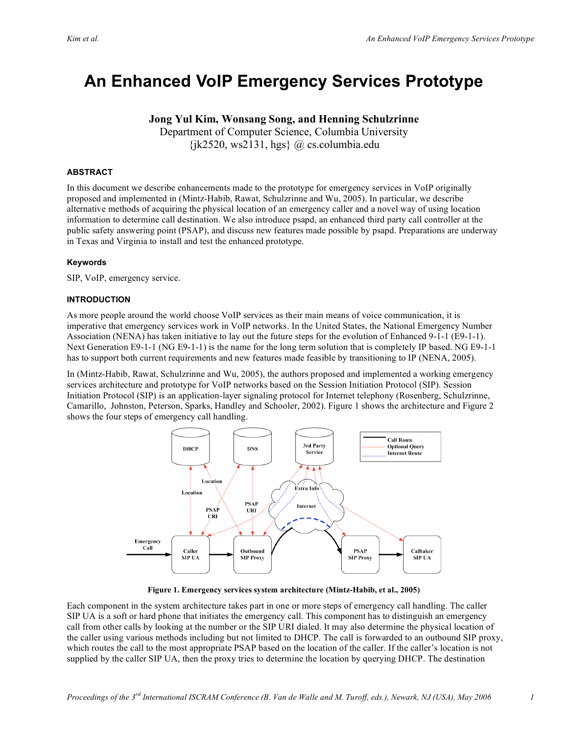# **An Enhanced VoIP Emergency Services Prototype**

# **Jong Yul Kim, Wonsang Song, and Henning Schulzrinne**

Department of Computer Science, Columbia University  $\{ik2520, ws2131, hgs\}$  @ cs.columbia.edu

### **ABSTRACT**

In this document we describe enhancements made to the prototype for emergency services in VoIP originally proposed and implemented in (Mintz-Habib, Rawat, Schulzrinne and Wu, 2005). In particular, we describe alternative methods of acquiring the physical location of an emergency caller and a novel way of using location information to determine call destination. We also introduce psapd, an enhanced third party call controller at the public safety answering point (PSAP), and discuss new features made possible by psapd. Preparations are underway in Texas and Virginia to install and test the enhanced prototype.

#### **Keywords**

SIP, VoIP, emergency service.

#### **INTRODUCTION**

As more people around the world choose VoIP services as their main means of voice communication, it is imperative that emergency services work in VoIP networks. In the United States, the National Emergency Number Association (NENA) has taken initiative to lay out the future steps for the evolution of Enhanced 9-1-1 (E9-1-1). Next Generation E9-1-1 (NG E9-1-1) is the name for the long term solution that is completely IP based. NG E9-1-1 has to support both current requirements and new features made feasible by transitioning to IP (NENA, 2005).

In (Mintz-Habib, Rawat, Schulzrinne and Wu, 2005), the authors proposed and implemented a working emergency services architecture and prototype for VoIP networks based on the Session Initiation Protocol (SIP). Session Initiation Protocol (SIP) is an application-layer signaling protocol for Internet telephony (Rosenberg, Schulzrinne, Camarillo, Johnston, Peterson, Sparks, Handley and Schooler, 2002). Figure 1 shows the architecture and Figure 2 shows the four steps of emergency call handling.



**Figure 1. Emergency services system architecture (Mintz-Habib, et al., 2005)**

Each component in the system architecture takes part in one or more steps of emergency call handling. The caller SIP UA is a soft or hard phone that initiates the emergency call. This component has to distinguish an emergency call from other calls by looking at the number or the SIP URI dialed. It may also determine the physical location of the caller using various methods including but not limited to DHCP. The call is forwarded to an outbound SIP proxy, which routes the call to the most appropriate PSAP based on the location of the caller. If the caller's location is not supplied by the caller SIP UA, then the proxy tries to determine the location by querying DHCP. The destination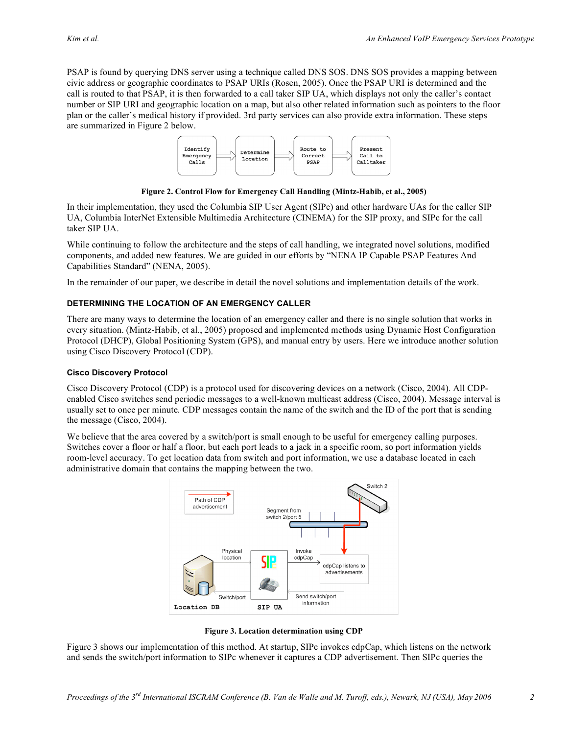PSAP is found by querying DNS server using a technique called DNS SOS. DNS SOS provides a mapping between civic address or geographic coordinates to PSAP URIs (Rosen, 2005). Once the PSAP URI is determined and the call is routed to that PSAP, it is then forwarded to a call taker SIP UA, which displays not only the caller's contact number or SIP URI and geographic location on a map, but also other related information such as pointers to the floor plan or the caller's medical history if provided. 3rd party services can also provide extra information. These steps are summarized in Figure 2 below.



**Figure 2. Control Flow for Emergency Call Handling (Mintz-Habib, et al., 2005)**

In their implementation, they used the Columbia SIP User Agent (SIPc) and other hardware UAs for the caller SIP UA, Columbia InterNet Extensible Multimedia Architecture (CINEMA) for the SIP proxy, and SIPc for the call taker SIP UA.

While continuing to follow the architecture and the steps of call handling, we integrated novel solutions, modified components, and added new features. We are guided in our efforts by "NENA IP Capable PSAP Features And Capabilities Standard" (NENA, 2005).

In the remainder of our paper, we describe in detail the novel solutions and implementation details of the work.

## **DETERMINING THE LOCATION OF AN EMERGENCY CALLER**

There are many ways to determine the location of an emergency caller and there is no single solution that works in every situation. (Mintz-Habib, et al., 2005) proposed and implemented methods using Dynamic Host Configuration Protocol (DHCP), Global Positioning System (GPS), and manual entry by users. Here we introduce another solution using Cisco Discovery Protocol (CDP).

#### **Cisco Discovery Protocol**

Cisco Discovery Protocol (CDP) is a protocol used for discovering devices on a network (Cisco, 2004). All CDPenabled Cisco switches send periodic messages to a well-known multicast address (Cisco, 2004). Message interval is usually set to once per minute. CDP messages contain the name of the switch and the ID of the port that is sending the message (Cisco, 2004).

We believe that the area covered by a switch/port is small enough to be useful for emergency calling purposes. Switches cover a floor or half a floor, but each port leads to a jack in a specific room, so port information yields room-level accuracy. To get location data from switch and port information, we use a database located in each administrative domain that contains the mapping between the two.



**Figure 3. Location determination using CDP**

Figure 3 shows our implementation of this method. At startup, SIPc invokes cdpCap, which listens on the network and sends the switch/port information to SIPc whenever it captures a CDP advertisement. Then SIPc queries the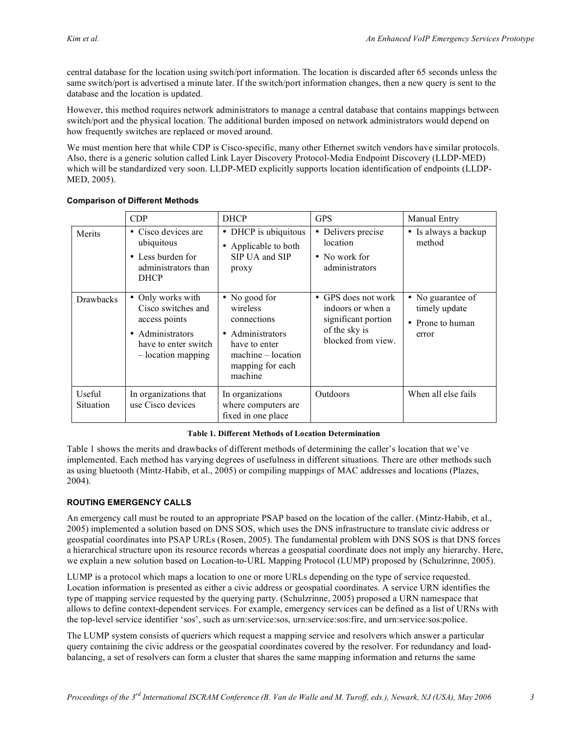central database for the location using switch/port information. The location is discarded after 65 seconds unless the same switch/port is advertised a minute later. If the switch/port information changes, then a new query is sent to the database and the location is updated.

However, this method requires network administrators to manage a central database that contains mappings between switch/port and the physical location. The additional burden imposed on network administrators would depend on how frequently switches are replaced or moved around.

We must mention here that while CDP is Cisco-specific, many other Ethernet switch vendors have similar protocols. Also, there is a generic solution called Link Layer Discovery Protocol-Media Endpoint Discovery (LLDP-MED) which will be standardized very soon. LLDP-MED explicitly supports location identification of endpoints (LLDP-MED, 2005).

| <b>Comparison of Different Methods</b> |  |  |  |
|----------------------------------------|--|--|--|
|----------------------------------------|--|--|--|

|                     | CDP                                                                                                                        | <b>DHCP</b>                                                                                                                          | <b>GPS</b>                                                                                                        | Manual Entry                                                    |
|---------------------|----------------------------------------------------------------------------------------------------------------------------|--------------------------------------------------------------------------------------------------------------------------------------|-------------------------------------------------------------------------------------------------------------------|-----------------------------------------------------------------|
| Merits              | • Cisco devices are<br>ubiquitous<br>• Less burden for<br>administrators than<br><b>DHCP</b>                               | • DHCP is ubiquitous<br>Applicable to both<br>$\bullet$<br>SIP UA and SIP<br>proxy                                                   | Delivers precise<br>$\bullet$<br>location<br>• No work for<br>administrators                                      | • Is always a backup<br>method                                  |
| <b>Drawbacks</b>    | • Only works with<br>Cisco switches and<br>access points<br>Administrators<br>have to enter switch<br>$-$ location mapping | • No good for<br>wireless<br>connections<br>• Administrators<br>have to enter<br>$machine - location$<br>mapping for each<br>machine | GPS does not work<br>$\bullet$<br>indoors or when a<br>significant portion<br>of the sky is<br>blocked from view. | • No guarantee of<br>timely update<br>• Prone to human<br>error |
| Useful<br>Situation | In organizations that<br>use Cisco devices                                                                                 | In organizations<br>where computers are<br>fixed in one place                                                                        | Outdoors                                                                                                          | When all else fails                                             |

#### **Table 1. Different Methods of Location Determination**

Table 1 shows the merits and drawbacks of different methods of determining the caller's location that we've implemented. Each method has varying degrees of usefulness in different situations. There are other methods such as using bluetooth (Mintz-Habib, et al., 2005) or compiling mappings of MAC addresses and locations (Plazes, 2004).

# **ROUTING EMERGENCY CALLS**

An emergency call must be routed to an appropriate PSAP based on the location of the caller. (Mintz-Habib, et al., 2005) implemented a solution based on DNS SOS, which uses the DNS infrastructure to translate civic address or geospatial coordinates into PSAP URLs (Rosen, 2005). The fundamental problem with DNS SOS is that DNS forces a hierarchical structure upon its resource records whereas a geospatial coordinate does not imply any hierarchy. Here, we explain a new solution based on Location-to-URL Mapping Protocol (LUMP) proposed by (Schulzrinne, 2005).

LUMP is a protocol which maps a location to one or more URLs depending on the type of service requested. Location information is presented as either a civic address or geospatial coordinates. A service URN identifies the type of mapping service requested by the querying party. (Schulzrinne, 2005) proposed a URN namespace that allows to define context-dependent services. For example, emergency services can be defined as a list of URNs with the top-level service identifier 'sos', such as urn:service:sos, urn:service:sos:fire, and urn:service:sos:police.

The LUMP system consists of queriers which request a mapping service and resolvers which answer a particular query containing the civic address or the geospatial coordinates covered by the resolver. For redundancy and loadbalancing, a set of resolvers can form a cluster that shares the same mapping information and returns the same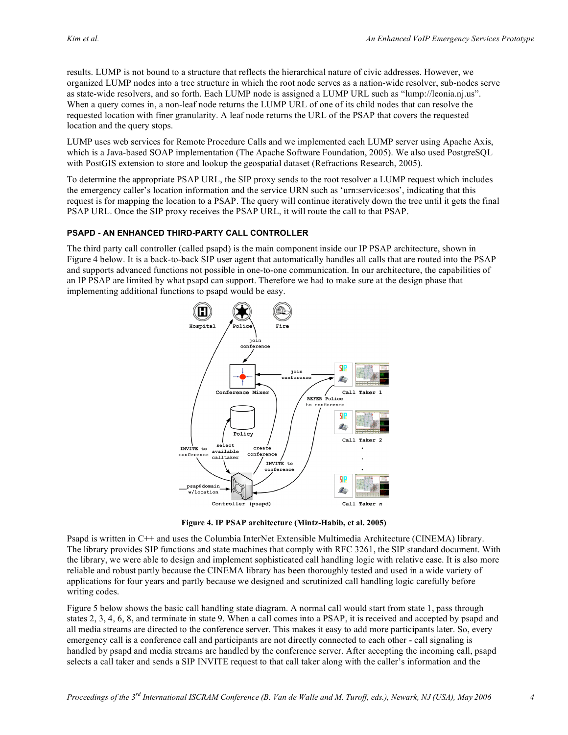results. LUMP is not bound to a structure that reflects the hierarchical nature of civic addresses. However, we organized LUMP nodes into a tree structure in which the root node serves as a nation-wide resolver, sub-nodes serve as state-wide resolvers, and so forth. Each LUMP node is assigned a LUMP URL such as "lump://leonia.nj.us". When a query comes in, a non-leaf node returns the LUMP URL of one of its child nodes that can resolve the requested location with finer granularity. A leaf node returns the URL of the PSAP that covers the requested location and the query stops.

LUMP uses web services for Remote Procedure Calls and we implemented each LUMP server using Apache Axis, which is a Java-based SOAP implementation (The Apache Software Foundation, 2005). We also used PostgreSOL with PostGIS extension to store and lookup the geospatial dataset (Refractions Research, 2005).

To determine the appropriate PSAP URL, the SIP proxy sends to the root resolver a LUMP request which includes the emergency caller's location information and the service URN such as 'urn:service:sos', indicating that this request is for mapping the location to a PSAP. The query will continue iteratively down the tree until it gets the final PSAP URL. Once the SIP proxy receives the PSAP URL, it will route the call to that PSAP.

#### **PSAPD - AN ENHANCED THIRD-PARTY CALL CONTROLLER**

The third party call controller (called psapd) is the main component inside our IP PSAP architecture, shown in Figure 4 below. It is a back-to-back SIP user agent that automatically handles all calls that are routed into the PSAP and supports advanced functions not possible in one-to-one communication. In our architecture, the capabilities of an IP PSAP are limited by what psapd can support. Therefore we had to make sure at the design phase that implementing additional functions to psapd would be easy.



**Figure 4. IP PSAP architecture (Mintz-Habib, et al. 2005)**

Psapd is written in C++ and uses the Columbia InterNet Extensible Multimedia Architecture (CINEMA) library. The library provides SIP functions and state machines that comply with RFC 3261, the SIP standard document. With the library, we were able to design and implement sophisticated call handling logic with relative ease. It is also more reliable and robust partly because the CINEMA library has been thoroughly tested and used in a wide variety of applications for four years and partly because we designed and scrutinized call handling logic carefully before writing codes.

Figure 5 below shows the basic call handling state diagram. A normal call would start from state 1, pass through states 2, 3, 4, 6, 8, and terminate in state 9. When a call comes into a PSAP, it is received and accepted by psapd and all media streams are directed to the conference server. This makes it easy to add more participants later. So, every emergency call is a conference call and participants are not directly connected to each other - call signaling is handled by psapd and media streams are handled by the conference server. After accepting the incoming call, psapd selects a call taker and sends a SIP INVITE request to that call taker along with the caller's information and the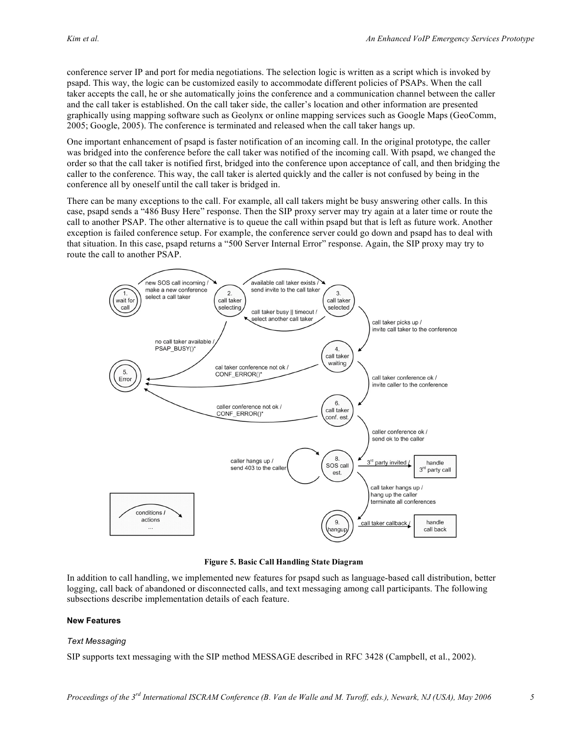conference server IP and port for media negotiations. The selection logic is written as a script which is invoked by psapd. This way, the logic can be customized easily to accommodate different policies of PSAPs. When the call taker accepts the call, he or she automatically joins the conference and a communication channel between the caller and the call taker is established. On the call taker side, the caller's location and other information are presented graphically using mapping software such as Geolynx or online mapping services such as Google Maps (GeoComm, 2005; Google, 2005). The conference is terminated and released when the call taker hangs up.

One important enhancement of psapd is faster notification of an incoming call. In the original prototype, the caller was bridged into the conference before the call taker was notified of the incoming call. With psapd, we changed the order so that the call taker is notified first, bridged into the conference upon acceptance of call, and then bridging the caller to the conference. This way, the call taker is alerted quickly and the caller is not confused by being in the conference all by oneself until the call taker is bridged in.

There can be many exceptions to the call. For example, all call takers might be busy answering other calls. In this case, psapd sends a "486 Busy Here" response. Then the SIP proxy server may try again at a later time or route the call to another PSAP. The other alternative is to queue the call within psapd but that is left as future work. Another exception is failed conference setup. For example, the conference server could go down and psapd has to deal with that situation. In this case, psapd returns a "500 Server Internal Error" response. Again, the SIP proxy may try to route the call to another PSAP.



**Figure 5. Basic Call Handling State Diagram**

In addition to call handling, we implemented new features for psapd such as language-based call distribution, better logging, call back of abandoned or disconnected calls, and text messaging among call participants. The following subsections describe implementation details of each feature.

#### **New Features**

#### *Text Messaging*

SIP supports text messaging with the SIP method MESSAGE described in RFC 3428 (Campbell, et al., 2002).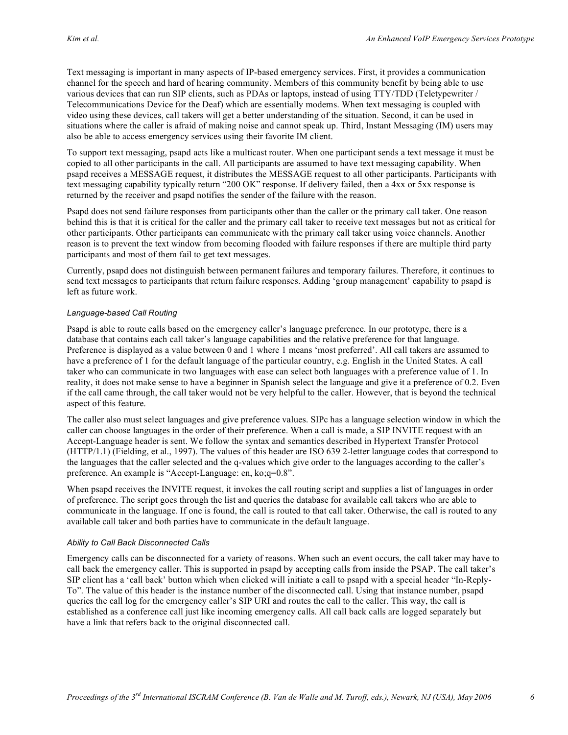Text messaging is important in many aspects of IP-based emergency services. First, it provides a communication channel for the speech and hard of hearing community. Members of this community benefit by being able to use various devices that can run SIP clients, such as PDAs or laptops, instead of using TTY/TDD (Teletypewriter / Telecommunications Device for the Deaf) which are essentially modems. When text messaging is coupled with video using these devices, call takers will get a better understanding of the situation. Second, it can be used in situations where the caller is afraid of making noise and cannot speak up. Third, Instant Messaging (IM) users may also be able to access emergency services using their favorite IM client.

To support text messaging, psapd acts like a multicast router. When one participant sends a text message it must be copied to all other participants in the call. All participants are assumed to have text messaging capability. When psapd receives a MESSAGE request, it distributes the MESSAGE request to all other participants. Participants with text messaging capability typically return "200 OK" response. If delivery failed, then a 4xx or 5xx response is returned by the receiver and psapd notifies the sender of the failure with the reason.

Psapd does not send failure responses from participants other than the caller or the primary call taker. One reason behind this is that it is critical for the caller and the primary call taker to receive text messages but not as critical for other participants. Other participants can communicate with the primary call taker using voice channels. Another reason is to prevent the text window from becoming flooded with failure responses if there are multiple third party participants and most of them fail to get text messages.

Currently, psapd does not distinguish between permanent failures and temporary failures. Therefore, it continues to send text messages to participants that return failure responses. Adding 'group management' capability to psapd is left as future work.

#### *Language-based Call Routing*

Psapd is able to route calls based on the emergency caller's language preference. In our prototype, there is a database that contains each call taker's language capabilities and the relative preference for that language. Preference is displayed as a value between 0 and 1 where 1 means 'most preferred'. All call takers are assumed to have a preference of 1 for the default language of the particular country, e.g. English in the United States. A call taker who can communicate in two languages with ease can select both languages with a preference value of 1. In reality, it does not make sense to have a beginner in Spanish select the language and give it a preference of 0.2. Even if the call came through, the call taker would not be very helpful to the caller. However, that is beyond the technical aspect of this feature.

The caller also must select languages and give preference values. SIPc has a language selection window in which the caller can choose languages in the order of their preference. When a call is made, a SIP INVITE request with an Accept-Language header is sent. We follow the syntax and semantics described in Hypertext Transfer Protocol (HTTP/1.1) (Fielding, et al., 1997). The values of this header are ISO 639 2-letter language codes that correspond to the languages that the caller selected and the q-values which give order to the languages according to the caller's preference. An example is "Accept-Language: en, ko;q=0.8".

When psapd receives the INVITE request, it invokes the call routing script and supplies a list of languages in order of preference. The script goes through the list and queries the database for available call takers who are able to communicate in the language. If one is found, the call is routed to that call taker. Otherwise, the call is routed to any available call taker and both parties have to communicate in the default language.

#### *Ability to Call Back Disconnected Calls*

Emergency calls can be disconnected for a variety of reasons. When such an event occurs, the call taker may have to call back the emergency caller. This is supported in psapd by accepting calls from inside the PSAP. The call taker's SIP client has a 'call back' button which when clicked will initiate a call to psapd with a special header "In-Reply-To". The value of this header is the instance number of the disconnected call. Using that instance number, psapd queries the call log for the emergency caller's SIP URI and routes the call to the caller. This way, the call is established as a conference call just like incoming emergency calls. All call back calls are logged separately but have a link that refers back to the original disconnected call.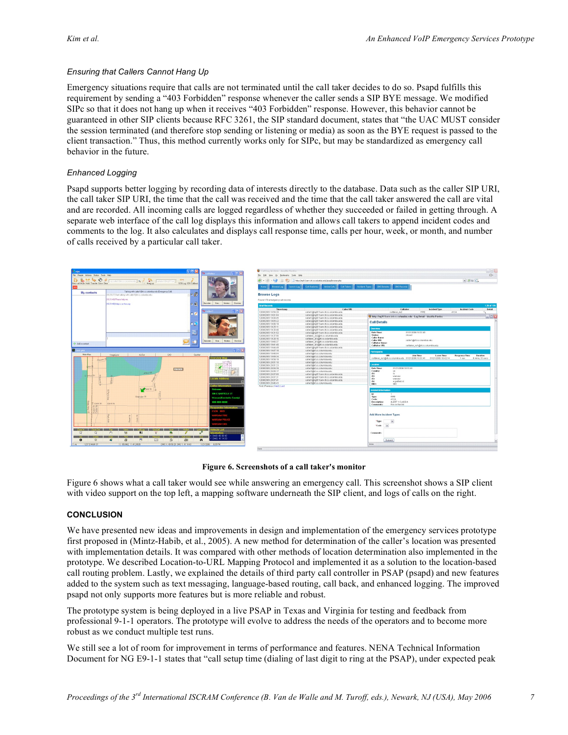### *Ensuring that Callers Cannot Hang Up*

Emergency situations require that calls are not terminated until the call taker decides to do so. Psapd fulfills this requirement by sending a "403 Forbidden" response whenever the caller sends a SIP BYE message. We modified SIPc so that it does not hang up when it receives "403 Forbidden" response. However, this behavior cannot be guaranteed in other SIP clients because RFC 3261, the SIP standard document, states that "the UAC MUST consider the session terminated (and therefore stop sending or listening or media) as soon as the BYE request is passed to the client transaction." Thus, this method currently works only for SIPc, but may be standardized as emergency call behavior in the future.

### *Enhanced Logging*

Psapd supports better logging by recording data of interests directly to the database. Data such as the caller SIP URI, the call taker SIP URI, the time that the call was received and the time that the call taker answered the call are vital and are recorded. All incoming calls are logged regardless of whether they succeeded or failed in getting through. A separate web interface of the call log displays this information and allows call takers to append incident codes and comments to the log. It also calculates and displays call response time, calls per hour, week, or month, and number of calls received by a particular call taker.



**Figure 6. Screenshots of a call taker's monitor**

Figure 6 shows what a call taker would see while answering an emergency call. This screenshot shows a SIP client with video support on the top left, a mapping software underneath the SIP client, and logs of calls on the right.

#### **CONCLUSION**

We have presented new ideas and improvements in design and implementation of the emergency services prototype first proposed in (Mintz-Habib, et al., 2005). A new method for determination of the caller's location was presented with implementation details. It was compared with other methods of location determination also implemented in the prototype. We described Location-to-URL Mapping Protocol and implemented it as a solution to the location-based call routing problem. Lastly, we explained the details of third party call controller in PSAP (psapd) and new features added to the system such as text messaging, language-based routing, call back, and enhanced logging. The improved psapd not only supports more features but is more reliable and robust.

The prototype system is being deployed in a live PSAP in Texas and Virginia for testing and feedback from professional 9-1-1 operators. The prototype will evolve to address the needs of the operators and to become more robust as we conduct multiple test runs.

We still see a lot of room for improvement in terms of performance and features. NENA Technical Information Document for NG E9-1-1 states that "call setup time (dialing of last digit to ring at the PSAP), under expected peak